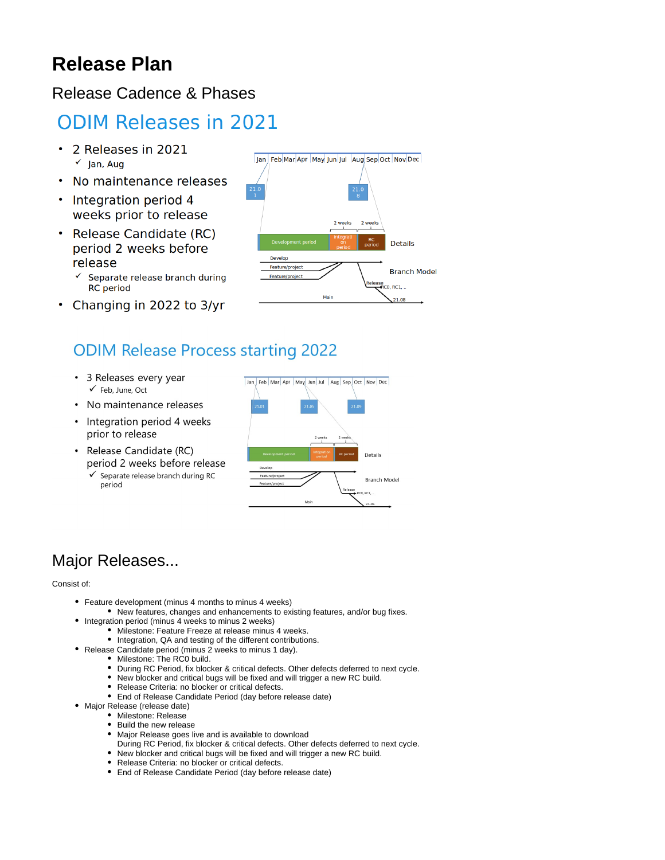# **Release Plan**

### Release Cadence & Phases

# **ODIM Releases in 2021**

- 2 Releases in 2021  $\checkmark$  lan, Aug
- No maintenance releases
- Integration period 4 weeks prior to release
- Release Candidate (RC) period 2 weeks before release
	- $\checkmark$  Separate release branch during **RC** period
- Changing in 2022 to 3/yr

# **ODIM Release Process starting 2022**

- 3 Releases every year ← Feb, June, Oct
- No maintenance releases
- Integration period 4 weeks prior to release
- Release Candidate (RC) period 2 weeks before release
	- ✔ Separate release branch during RC period



### Major Releases...

#### Consist of:

- Feature development (minus 4 months to minus 4 weeks)
	- New features, changes and enhancements to existing features, and/or bug fixes.
- Integration period (minus 4 weeks to minus 2 weeks)
	- $\bullet$  Milestone: Feature Freeze at release minus 4 weeks.
	- Integration, QA and testing of the different contributions.
- Release Candidate period (minus 2 weeks to minus 1 day).
	- Milestone: The RC0 build.
	- During RC Period, fix blocker & critical defects. Other defects deferred to next cycle.
	- New blocker and critical bugs will be fixed and will trigger a new RC build.
	- Release Criteria: no blocker or critical defects.
	- End of Release Candidate Period (day before release date)
- Major Release (release date)
	- Milestone: Release • Build the new release
	- Major Release goes live and is available to download
	- During RC Period, fix blocker & critical defects. Other defects deferred to next cycle.
	- New blocker and critical bugs will be fixed and will trigger a new RC build.
	- Release Criteria: no blocker or critical defects.
	- End of Release Candidate Period (day before release date)